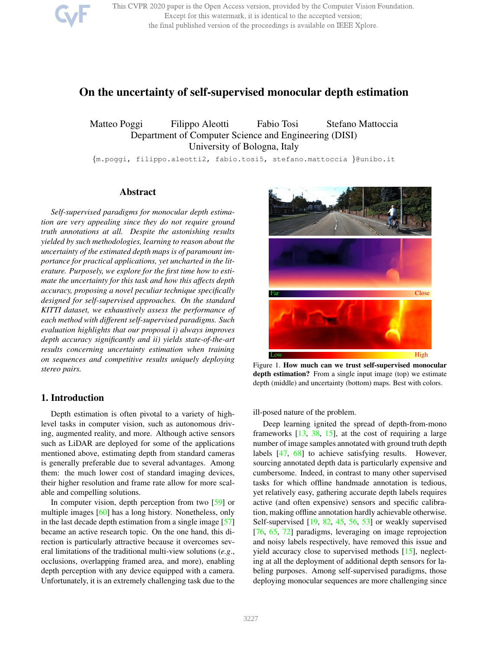

This CVPR 2020 paper is the Open Access version, provided by the Computer Vision Foundation. Except for this watermark, it is identical to the accepted version; the final published version of the proceedings is available on IEEE Xplore.

# On the uncertainty of self-supervised monocular depth estimation

Matteo Poggi Filippo Aleotti Fabio Tosi Stefano Mattoccia Department of Computer Science and Engineering (DISI) University of Bologna, Italy

{m.poggi, filippo.aleotti2, fabio.tosi5, stefano.mattoccia }@unibo.it

### Abstract

*Self-supervised paradigms for monocular depth estimation are very appealing since they do not require ground truth annotations at all. Despite the astonishing results yielded by such methodologies, learning to reason about the uncertainty of the estimated depth maps is of paramount importance for practical applications, yet uncharted in the literature. Purposely, we explore for the first time how to estimate the uncertainty for this task and how this affects depth accuracy, proposing a novel peculiar technique specifically designed for self-supervised approaches. On the standard KITTI dataset, we exhaustively assess the performance of each method with different self-supervised paradigms. Such evaluation highlights that our proposal i) always improves depth accuracy significantly and ii) yields state-of-the-art results concerning uncertainty estimation when training on sequences and competitive results uniquely deploying stereo pairs.*

#### 1. Introduction

Depth estimation is often pivotal to a variety of highlevel tasks in computer vision, such as autonomous driving, augmented reality, and more. Although active sensors such as LiDAR are deployed for some of the applications mentioned above, estimating depth from standard cameras is generally preferable due to several advantages. Among them: the much lower cost of standard imaging devices, their higher resolution and frame rate allow for more scalable and compelling solutions.

In computer vision, depth perception from two [59] or multiple images [60] has a long history. Nonetheless, only in the last decade depth estimation from a single image [57] became an active research topic. On the one hand, this direction is particularly attractive because it overcomes several limitations of the traditional multi-view solutions (*e.g*., occlusions, overlapping framed area, and more), enabling depth perception with any device equipped with a camera. Unfortunately, it is an extremely challenging task due to the



Figure 1. How much can we trust self-supervised monocular depth estimation? From a single input image (top) we estimate depth (middle) and uncertainty (bottom) maps. Best with colors.

ill-posed nature of the problem.

Deep learning ignited the spread of depth-from-mono frameworks  $[13, 38, 15]$ , at the cost of requiring a large number of image samples annotated with ground truth depth labels [47, 68] to achieve satisfying results. However, sourcing annotated depth data is particularly expensive and cumbersome. Indeed, in contrast to many other supervised tasks for which offline handmade annotation is tedious, yet relatively easy, gathering accurate depth labels requires active (and often expensive) sensors and specific calibration, making offline annotation hardly achievable otherwise. Self-supervised [19, 82, 45, 56, 53] or weakly supervised [76, 65, 72] paradigms, leveraging on image reprojection and noisy labels respectively, have removed this issue and yield accuracy close to supervised methods [15], neglecting at all the deployment of additional depth sensors for labeling purposes. Among self-supervised paradigms, those deploying monocular sequences are more challenging since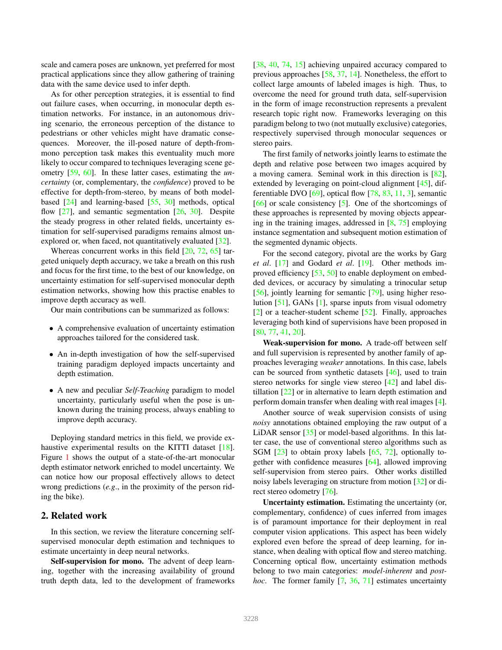scale and camera poses are unknown, yet preferred for most practical applications since they allow gathering of training data with the same device used to infer depth.

As for other perception strategies, it is essential to find out failure cases, when occurring, in monocular depth estimation networks. For instance, in an autonomous driving scenario, the erroneous perception of the distance to pedestrians or other vehicles might have dramatic consequences. Moreover, the ill-posed nature of depth-frommono perception task makes this eventuality much more likely to occur compared to techniques leveraging scene geometry [59, 60]. In these latter cases, estimating the *uncertainty* (or, complementary, the *confidence*) proved to be effective for depth-from-stereo, by means of both modelbased [24] and learning-based [55, 30] methods, optical flow  $[27]$ , and semantic segmentation  $[26, 30]$ . Despite the steady progress in other related fields, uncertainty estimation for self-supervised paradigms remains almost unexplored or, when faced, not quantitatively evaluated [32].

Whereas concurrent works in this field  $[20, 72, 65]$  targeted uniquely depth accuracy, we take a breath on this rush and focus for the first time, to the best of our knowledge, on uncertainty estimation for self-supervised monocular depth estimation networks, showing how this practise enables to improve depth accuracy as well.

Our main contributions can be summarized as follows:

- A comprehensive evaluation of uncertainty estimation approaches tailored for the considered task.
- An in-depth investigation of how the self-supervised training paradigm deployed impacts uncertainty and depth estimation.
- A new and peculiar *Self-Teaching* paradigm to model uncertainty, particularly useful when the pose is unknown during the training process, always enabling to improve depth accuracy.

Deploying standard metrics in this field, we provide exhaustive experimental results on the KITTI dataset [18]. Figure 1 shows the output of a state-of-the-art monocular depth estimator network enriched to model uncertainty. We can notice how our proposal effectively allows to detect wrong predictions (*e.g*., in the proximity of the person riding the bike).

# 2. Related work

In this section, we review the literature concerning selfsupervised monocular depth estimation and techniques to estimate uncertainty in deep neural networks.

Self-supervision for mono. The advent of deep learning, together with the increasing availability of ground truth depth data, led to the development of frameworks [38, 40, 74, 15] achieving unpaired accuracy compared to previous approaches [58, 37, 14]. Nonetheless, the effort to collect large amounts of labeled images is high. Thus, to overcome the need for ground truth data, self-supervision in the form of image reconstruction represents a prevalent research topic right now. Frameworks leveraging on this paradigm belong to two (not mutually exclusive) categories, respectively supervised through monocular sequences or stereo pairs.

The first family of networks jointly learns to estimate the depth and relative pose between two images acquired by a moving camera. Seminal work in this direction is [82], extended by leveraging on point-cloud alignment [45], differentiable DVO [69], optical flow [78, 83, 11, 3], semantic [66] or scale consistency [5]. One of the shortcomings of these approaches is represented by moving objects appearing in the training images, addressed in [8, 75] employing instance segmentation and subsequent motion estimation of the segmented dynamic objects.

For the second category, pivotal are the works by Garg *et al*. [17] and Godard *et al*. [19]. Other methods improved efficiency [53, 50] to enable deployment on embedded devices, or accuracy by simulating a trinocular setup [56], jointly learning for semantic [79], using higher resolution [51], GANs [1], sparse inputs from visual odometry [2] or a teacher-student scheme [52]. Finally, approaches leveraging both kind of supervisions have been proposed in [80, 77, 41, 20].

Weak-supervision for mono. A trade-off between self and full supervision is represented by another family of approaches leveraging *weaker* annotations. In this case, labels can be sourced from synthetic datasets [46], used to train stereo networks for single view stereo [42] and label distillation [22] or in alternative to learn depth estimation and perform domain transfer when dealing with real images [4].

Another source of weak supervision consists of using *noisy* annotations obtained employing the raw output of a LiDAR sensor [35] or model-based algorithms. In this latter case, the use of conventional stereo algorithms such as SGM [23] to obtain proxy labels [65, 72], optionally together with confidence measures [64], allowed improving self-supervision from stereo pairs. Other works distilled noisy labels leveraging on structure from motion [32] or direct stereo odometry [76].

Uncertainty estimation. Estimating the uncertainty (or, complementary, confidence) of cues inferred from images is of paramount importance for their deployment in real computer vision applications. This aspect has been widely explored even before the spread of deep learning, for instance, when dealing with optical flow and stereo matching. Concerning optical flow, uncertainty estimation methods belong to two main categories: *model-inherent* and *posthoc*. The former family [7, 36, 71] estimates uncertainty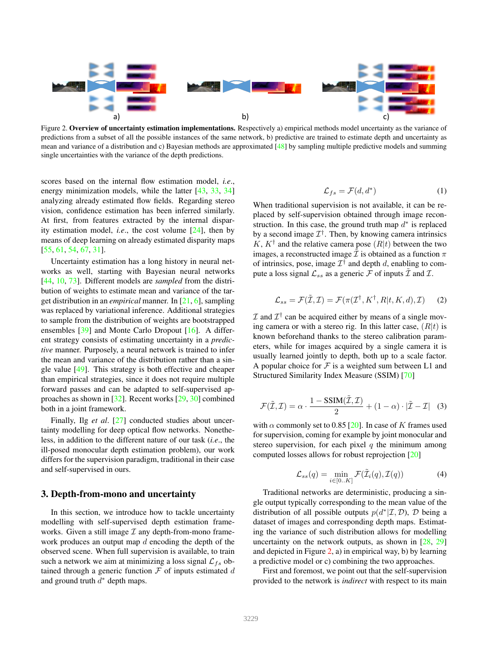

Figure 2. Overview of uncertainty estimation implementations. Respectively a) empirical methods model uncertainty as the variance of predictions from a subset of all the possible instances of the same network, b) predictive are trained to estimate depth and uncertainty as mean and variance of a distribution and c) Bayesian methods are approximated [48] by sampling multiple predictive models and summing single uncertainties with the variance of the depth predictions.

scores based on the internal flow estimation model, *i.e*., energy minimization models, while the latter [43, 33, 34] analyzing already estimated flow fields. Regarding stereo vision, confidence estimation has been inferred similarly. At first, from features extracted by the internal disparity estimation model, *i.e*., the cost volume [24], then by means of deep learning on already estimated disparity maps [55, 61, 54, 67, 31].

Uncertainty estimation has a long history in neural networks as well, starting with Bayesian neural networks [44, 10, 73]. Different models are *sampled* from the distribution of weights to estimate mean and variance of the target distribution in an *empirical* manner. In [21, 6], sampling was replaced by variational inference. Additional strategies to sample from the distribution of weights are bootstrapped ensembles [39] and Monte Carlo Dropout [16]. A different strategy consists of estimating uncertainty in a *predictive* manner. Purposely, a neural network is trained to infer the mean and variance of the distribution rather than a single value [49]. This strategy is both effective and cheaper than empirical strategies, since it does not require multiple forward passes and can be adapted to self-supervised approaches as shown in [32]. Recent works [29, 30] combined both in a joint framework.

Finally, Ilg *et al*. [27] conducted studies about uncertainty modelling for deep optical flow networks. Nonetheless, in addition to the different nature of our task (*i.e*., the ill-posed monocular depth estimation problem), our work differs for the supervision paradigm, traditional in their case and self-supervised in ours.

# 3. Depth-from-mono and uncertainty

In this section, we introduce how to tackle uncertainty modelling with self-supervised depth estimation frameworks. Given a still image  $I$  any depth-from-mono framework produces an output map  $d$  encoding the depth of the observed scene. When full supervision is available, to train such a network we aim at minimizing a loss signal  $\mathcal{L}_{fs}$  obtained through a generic function  $\mathcal F$  of inputs estimated  $d$ and ground truth  $d^*$  depth maps.

$$
\mathcal{L}_{fs} = \mathcal{F}(d, d^*)
$$
 (1)

When traditional supervision is not available, it can be replaced by self-supervision obtained through image reconstruction. In this case, the ground truth map  $d^*$  is replaced by a second image  $\mathcal{I}^{\dagger}$ . Then, by knowing camera intrinsics K,  $K^{\dagger}$  and the relative camera pose  $(R|t)$  between the two images, a reconstructed image  $\tilde{\mathcal{I}}$  is obtained as a function  $\pi$ of intrinsics, pose, image  $\mathcal{I}^{\dagger}$  and depth d, enabling to compute a loss signal  $\mathcal{L}_{ss}$  as a generic  $\mathcal F$  of inputs  $\bar{\mathcal I}$  and  $\mathcal I$ .

$$
\mathcal{L}_{ss} = \mathcal{F}(\tilde{\mathcal{I}}, \mathcal{I}) = \mathcal{F}(\pi(\mathcal{I}^{\dagger}, K^{\dagger}, R|t, K, d), \mathcal{I}) \tag{2}
$$

 $\mathcal I$  and  $\mathcal I^{\dagger}$  can be acquired either by means of a single moving camera or with a stereo rig. In this latter case,  $(R|t)$  is known beforehand thanks to the stereo calibration parameters, while for images acquired by a single camera it is usually learned jointly to depth, both up to a scale factor. A popular choice for  $\mathcal F$  is a weighted sum between L1 and Structured Similarity Index Measure (SSIM) [70]

$$
\mathcal{F}(\tilde{\mathcal{I}}, \mathcal{I}) = \alpha \cdot \frac{1 - \text{SSIM}(\tilde{\mathcal{I}}, \mathcal{I})}{2} + (1 - \alpha) \cdot |\tilde{\mathcal{I}} - \mathcal{I}| \quad (3)
$$

with  $\alpha$  commonly set to 0.85 [20]. In case of K frames used for supervision, coming for example by joint monocular and stereo supervision, for each pixel  $q$  the minimum among computed losses allows for robust reprojection [20]

$$
\mathcal{L}_{ss}(q) = \min_{i \in [0..K]} \mathcal{F}(\tilde{\mathcal{I}}_i(q), \mathcal{I}(q)) \tag{4}
$$

Traditional networks are deterministic, producing a single output typically corresponding to the mean value of the distribution of all possible outputs  $p(d^*|\mathcal{I}, \mathcal{D})$ ,  $\mathcal{D}$  being a dataset of images and corresponding depth maps. Estimating the variance of such distribution allows for modelling uncertainty on the network outputs, as shown in  $[28, 29]$ and depicted in Figure 2, a) in empirical way, b) by learning a predictive model or c) combining the two approaches.

First and foremost, we point out that the self-supervision provided to the network is *indirect* with respect to its main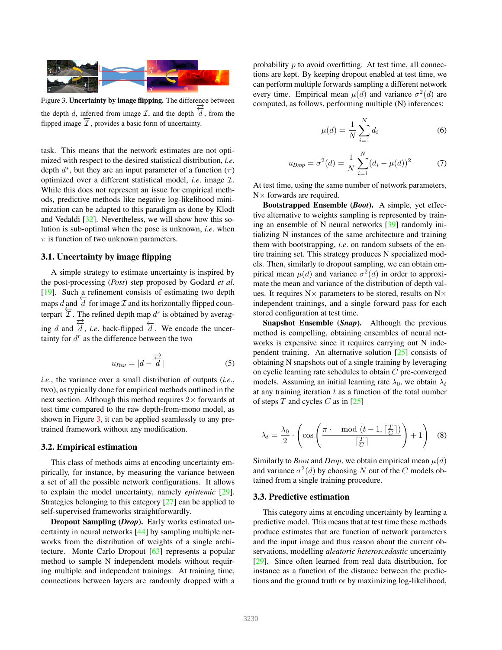

Figure 3. Uncertainty by image flipping. The difference between the depth d, inferred from image  $\mathcal{I}$ , and the depth  $\overrightarrow{d}$ , from the flipped image  $\overline{T}$ , provides a basic form of uncertainty.

task. This means that the network estimates are not optimized with respect to the desired statistical distribution, *i.e*. depth  $d^*$ , but they are an input parameter of a function  $(\pi)$ optimized over a different statistical model, *i.e*. image I. While this does not represent an issue for empirical methods, predictive methods like negative log-likelihood minimization can be adapted to this paradigm as done by Klodt and Vedaldi [32]. Nevertheless, we will show how this solution is sub-optimal when the pose is unknown, *i.e*. when  $\pi$  is function of two unknown parameters.

#### 3.1. Uncertainty by image flipping

A simple strategy to estimate uncertainty is inspired by the post-processing (*Post*) step proposed by Godard *et al*. [19]. Such a refinement consists of estimating two depth maps d and  $\overline{d}$  for image  $\mathcal I$  and its horizontally flipped counterpart  $\overline{\mathcal{I}}$ . The refined depth map  $d^r$  is obtained by averaging d and  $\overrightarrow{d}$ , *i.e.* back-flipped  $\overleftarrow{d}$ . We encode the uncertainty for  $d^r$  as the difference between the two

$$
u_{Post} = |d - \overrightarrow{\overrightarrow{d}}|
$$
 (5)

*i.e*., the variance over a small distribution of outputs (*i.e*., two), as typically done for empirical methods outlined in the next section. Although this method requires  $2\times$  forwards at test time compared to the raw depth-from-mono model, as shown in Figure 3, it can be applied seamlessly to any pretrained framework without any modification.

### 3.2. Empirical estimation

This class of methods aims at encoding uncertainty empirically, for instance, by measuring the variance between a set of all the possible network configurations. It allows to explain the model uncertainty, namely *epistemic* [29]. Strategies belonging to this category [27] can be applied to self-supervised frameworks straightforwardly.

Dropout Sampling (*Drop*). Early works estimated uncertainty in neural networks [44] by sampling multiple networks from the distribution of weights of a single architecture. Monte Carlo Dropout [63] represents a popular method to sample N independent models without requiring multiple and independent trainings. At training time, connections between layers are randomly dropped with a probability  $p$  to avoid overfitting. At test time, all connections are kept. By keeping dropout enabled at test time, we can perform multiple forwards sampling a different network every time. Empirical mean  $\mu(d)$  and variance  $\sigma^2(d)$  are computed, as follows, performing multiple (N) inferences:

$$
\mu(d) = \frac{1}{N} \sum_{i=1}^{N} d_i
$$
\n(6)

$$
u_{Drop} = \sigma^2(d) = \frac{1}{N} \sum_{i=1}^{N} (d_i - \mu(d))^2
$$
 (7)

At test time, using the same number of network parameters,  $N \times$  forwards are required.

Bootstrapped Ensemble (*Boot*). A simple, yet effective alternative to weights sampling is represented by training an ensemble of N neural networks [39] randomly initializing N instances of the same architecture and training them with bootstrapping, *i.e*. on random subsets of the entire training set. This strategy produces N specialized models. Then, similarly to dropout sampling, we can obtain empirical mean  $\mu(d)$  and variance  $\sigma^2(d)$  in order to approximate the mean and variance of the distribution of depth values. It requires  $N \times$  parameters to be stored, results on  $N \times$ independent trainings, and a single forward pass for each stored configuration at test time.

Snapshot Ensemble (*Snap*). Although the previous method is compelling, obtaining ensembles of neural networks is expensive since it requires carrying out N independent training. An alternative solution [25] consists of obtaining N snapshots out of a single training by leveraging on cyclic learning rate schedules to obtain C pre-converged models. Assuming an initial learning rate  $\lambda_0$ , we obtain  $\lambda_t$ at any training iteration  $t$  as a function of the total number of steps  $T$  and cycles  $C$  as in [25]

$$
\lambda_t = \frac{\lambda_0}{2} \cdot \left( \cos \left( \frac{\pi \cdot \mod(t-1, \lceil \frac{T}{C} \rceil)}{\lceil \frac{T}{C} \rceil} \right) + 1 \right) \tag{8}
$$

Similarly to *Boot* and *Drop*, we obtain empirical mean  $\mu(d)$ and variance  $\sigma^2(d)$  by choosing N out of the C models obtained from a single training procedure.

#### 3.3. Predictive estimation

This category aims at encoding uncertainty by learning a predictive model. This means that at test time these methods produce estimates that are function of network parameters and the input image and thus reason about the current observations, modelling *aleatoric heteroscedastic* uncertainty [29]. Since often learned from real data distribution, for instance as a function of the distance between the predictions and the ground truth or by maximizing log-likelihood,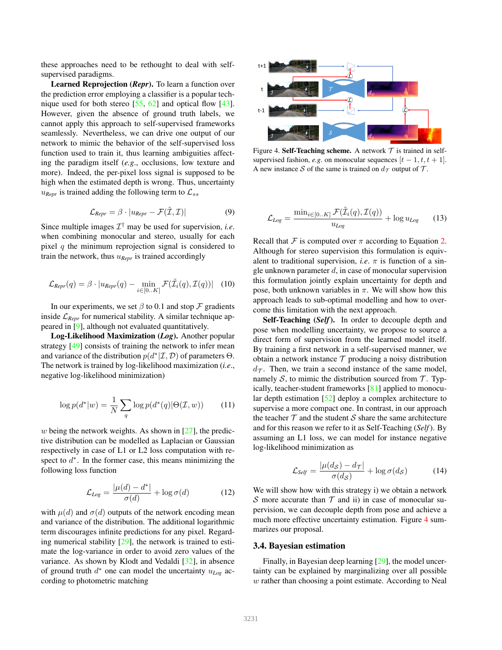these approaches need to be rethought to deal with selfsupervised paradigms.

Learned Reprojection (*Repr*). To learn a function over the prediction error employing a classifier is a popular technique used for both stereo [55, 62] and optical flow [43]. However, given the absence of ground truth labels, we cannot apply this approach to self-supervised frameworks seamlessly. Nevertheless, we can drive one output of our network to mimic the behavior of the self-supervised loss function used to train it, thus learning ambiguities affecting the paradigm itself (*e.g*., occlusions, low texture and more). Indeed, the per-pixel loss signal is supposed to be high when the estimated depth is wrong. Thus, uncertainty  $u_{Repr}$  is trained adding the following term to  $\mathcal{L}_{ss}$ 

$$
\mathcal{L}_{Repr} = \beta \cdot |u_{Repr} - \mathcal{F}(\tilde{\mathcal{I}}, \mathcal{I})| \tag{9}
$$

Since multiple images  $\mathcal{I}^{\dagger}$  may be used for supervision, *i.e.* when combining monocular and stereo, usually for each pixel  $q$  the minimum reprojection signal is considered to train the network, thus u*Repr* is trained accordingly

$$
\mathcal{L}_{Repr}(q) = \beta \cdot |u_{Repr}(q) - \min_{i \in [0..K]} \mathcal{F}(\tilde{\mathcal{I}}_i(q), \mathcal{I}(q))| \quad (10)
$$

In our experiments, we set  $\beta$  to 0.1 and stop  $\mathcal F$  gradients inside  $\mathcal{L}_{Ren}$  for numerical stability. A similar technique appeared in [9], although not evaluated quantitatively.

Log-Likelihood Maximization (*Log*). Another popular strategy [49] consists of training the network to infer mean and variance of the distribution  $p(d^*|\mathcal{I}, \mathcal{D})$  of parameters  $\Theta$ . The network is trained by log-likelihood maximization (*i.e*., negative log-likelihood minimization)

$$
\log p(d^*|w) = \frac{1}{N} \sum_{q} \log p(d^*(q)|\Theta(\mathcal{I}, w)) \qquad (11)
$$

w being the network weights. As shown in  $[27]$ , the predictive distribution can be modelled as Laplacian or Gaussian respectively in case of L1 or L2 loss computation with respect to  $d^*$ . In the former case, this means minimizing the following loss function

$$
\mathcal{L}_{Log} = \frac{|\mu(d) - d^*|}{\sigma(d)} + \log \sigma(d) \tag{12}
$$

with  $\mu(d)$  and  $\sigma(d)$  outputs of the network encoding mean and variance of the distribution. The additional logarithmic term discourages infinite predictions for any pixel. Regarding numerical stability [29], the network is trained to estimate the log-variance in order to avoid zero values of the variance. As shown by Klodt and Vedaldi [32], in absence of ground truth  $d^*$  one can model the uncertainty  $u_{Log}$  according to photometric matching



Figure 4. Self-Teaching scheme. A network  $T$  is trained in selfsupervised fashion, *e.g.* on monocular sequences  $[t - 1, t, t + 1]$ . A new instance S of the same is trained on  $d_{\tau}$  output of T.

$$
\mathcal{L}_{Log} = \frac{\min_{i \in [0..K]} \mathcal{F}(\tilde{\mathcal{I}}_i(q), \mathcal{I}(q))}{u_{Log}} + \log u_{Log} \qquad (13)
$$

Recall that  $F$  is computed over  $\pi$  according to Equation 2. Although for stereo supervision this formulation is equivalent to traditional supervision, *i.e.*  $\pi$  is function of a single unknown parameter  $d$ , in case of monocular supervision this formulation jointly explain uncertainty for depth and pose, both unknown variables in  $\pi$ . We will show how this approach leads to sub-optimal modelling and how to overcome this limitation with the next approach.

Self-Teaching (*Self*). In order to decouple depth and pose when modelling uncertainty, we propose to source a direct form of supervision from the learned model itself. By training a first network in a self-supervised manner, we obtain a network instance  $T$  producing a noisy distribution  $d_{\mathcal{T}}$ . Then, we train a second instance of the same model, namely S, to mimic the distribution sourced from  $\mathcal T$ . Typically, teacher-student frameworks [81] applied to monocular depth estimation [52] deploy a complex architecture to supervise a more compact one. In contrast, in our approach the teacher  $\mathcal T$  and the student  $\mathcal S$  share the same architecture and for this reason we refer to it as Self-Teaching (*Self*). By assuming an L1 loss, we can model for instance negative log-likelihood minimization as

$$
\mathcal{L}_{Self} = \frac{|\mu(d_{\mathcal{S}}) - d_{\mathcal{T}}|}{\sigma(d_{\mathcal{S}})} + \log \sigma(d_{\mathcal{S}})
$$
(14)

We will show how with this strategy i) we obtain a network S more accurate than  $T$  and ii) in case of monocular supervision, we can decouple depth from pose and achieve a much more effective uncertainty estimation. Figure 4 summarizes our proposal.

### 3.4. Bayesian estimation

Finally, in Bayesian deep learning [29], the model uncertainty can be explained by marginalizing over all possible w rather than choosing a point estimate. According to Neal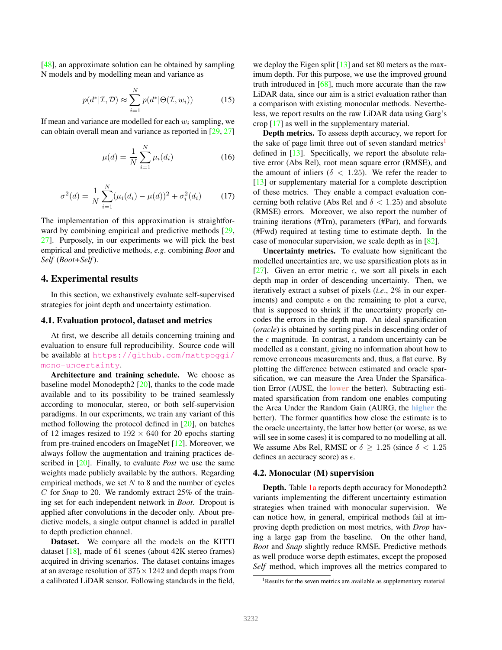[48], an approximate solution can be obtained by sampling N models and by modelling mean and variance as

$$
p(d^*|\mathcal{I}, \mathcal{D}) \approx \sum_{i=1}^N p(d^*|\Theta(\mathcal{I}, w_i))
$$
 (15)

If mean and variance are modelled for each  $w_i$  sampling, we can obtain overall mean and variance as reported in [29, 27]

$$
\mu(d) = \frac{1}{N} \sum_{i=1}^{N} \mu_i(d_i)
$$
\n(16)

$$
\sigma^{2}(d) = \frac{1}{N} \sum_{i=1}^{N} (\mu_{i}(d_{i}) - \mu(d))^{2} + \sigma_{i}^{2}(d_{i})
$$
 (17)

The implementation of this approximation is straightforward by combining empirical and predictive methods [29, 27]. Purposely, in our experiments we will pick the best empirical and predictive methods, *e.g*. combining *Boot* and *Self* (*Boot+Self*).

# 4. Experimental results

In this section, we exhaustively evaluate self-supervised strategies for joint depth and uncertainty estimation.

#### 4.1. Evaluation protocol, dataset and metrics

At first, we describe all details concerning training and evaluation to ensure full reproducibility. Source code will be available at https://github.com/mattpoggi/ mono-uncertainty.

Architecture and training schedule. We choose as baseline model Monodepth2 [20], thanks to the code made available and to its possibility to be trained seamlessly according to monocular, stereo, or both self-supervision paradigms. In our experiments, we train any variant of this method following the protocol defined in [20], on batches of 12 images resized to  $192 \times 640$  for 20 epochs starting from pre-trained encoders on ImageNet [12]. Moreover, we always follow the augmentation and training practices described in [20]. Finally, to evaluate *Post* we use the same weights made publicly available by the authors. Regarding empirical methods, we set  $N$  to 8 and the number of cycles C for *Snap* to 20. We randomly extract 25% of the training set for each independent network in *Boot*. Dropout is applied after convolutions in the decoder only. About predictive models, a single output channel is added in parallel to depth prediction channel.

Dataset. We compare all the models on the KITTI dataset [18], made of 61 scenes (about 42K stereo frames) acquired in driving scenarios. The dataset contains images at an average resolution of  $375 \times 1242$  and depth maps from a calibrated LiDAR sensor. Following standards in the field, we deploy the Eigen split [13] and set 80 meters as the maximum depth. For this purpose, we use the improved ground truth introduced in [68], much more accurate than the raw LiDAR data, since our aim is a strict evaluation rather than a comparison with existing monocular methods. Nevertheless, we report results on the raw LiDAR data using Garg's crop [17] as well in the supplementary material.

Depth metrics. To assess depth accuracy, we report for the sake of page limit three out of seven standard metrics<sup>1</sup> defined in [13]. Specifically, we report the absolute relative error (Abs Rel), root mean square error (RMSE), and the amount of inliers ( $\delta$  < 1.25). We refer the reader to [13] or supplementary material for a complete description of these metrics. They enable a compact evaluation concerning both relative (Abs Rel and  $\delta$  < 1.25) and absolute (RMSE) errors. Moreover, we also report the number of training iterations (#Trn), parameters (#Par), and forwards (#Fwd) required at testing time to estimate depth. In the case of monocular supervision, we scale depth as in [82].

Uncertainty metrics. To evaluate how significant the modelled uncertainties are, we use sparsification plots as in [27]. Given an error metric  $\epsilon$ , we sort all pixels in each depth map in order of descending uncertainty. Then, we iteratively extract a subset of pixels (*i.e*., 2% in our experiments) and compute  $\epsilon$  on the remaining to plot a curve, that is supposed to shrink if the uncertainty properly encodes the errors in the depth map. An ideal sparsification (*oracle*) is obtained by sorting pixels in descending order of the  $\epsilon$  magnitude. In contrast, a random uncertainty can be modelled as a constant, giving no information about how to remove erroneous measurements and, thus, a flat curve. By plotting the difference between estimated and oracle sparsification, we can measure the Area Under the Sparsification Error (AUSE, the lower the better). Subtracting estimated sparsification from random one enables computing the Area Under the Random Gain (AURG, the higher the better). The former quantifies how close the estimate is to the oracle uncertainty, the latter how better (or worse, as we will see in some cases) it is compared to no modelling at all. We assume Abs Rel, RMSE or  $\delta \geq 1.25$  (since  $\delta < 1.25$ ) defines an accuracy score) as  $\epsilon$ .

#### 4.2. Monocular (M) supervision

Depth. Table 1a reports depth accuracy for Monodepth2 variants implementing the different uncertainty estimation strategies when trained with monocular supervision. We can notice how, in general, empirical methods fail at improving depth prediction on most metrics, with *Drop* having a large gap from the baseline. On the other hand, *Boot* and *Snap* slightly reduce RMSE. Predictive methods as well produce worse depth estimates, except the proposed *Self* method, which improves all the metrics compared to

<sup>&</sup>lt;sup>1</sup>Results for the seven metrics are available as supplementary material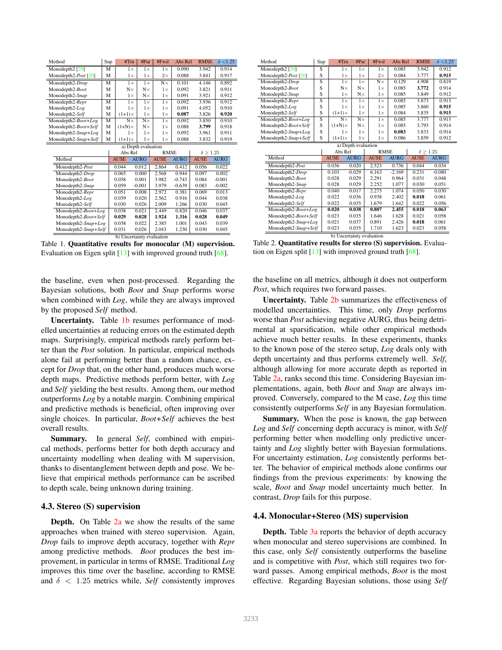| Method                           | Sup | #Trn          |            | #Par        | #Fwd        | Abs Rel     | <b>RMSE</b>        | $\delta$ <1.25 |  |
|----------------------------------|-----|---------------|------------|-------------|-------------|-------------|--------------------|----------------|--|
| Monodepth2 <sup>[20]</sup>       | M   |               | $1\times$  | $1\times$   | $1\times$   | 0.090       | 3.942              | 0.914          |  |
| Monodepth2-Post [20]             | M   |               | $1\times$  | $1\times$   | $2\times$   | 0.088       | 3.841              | 0.917          |  |
| Monodepth2-Drop                  | M   |               | $1\times$  | $1\times$   | $N \times$  | 0.101       | 4.146              | 0.892          |  |
| Monodepth2-Boot                  | M   |               | $N\times$  | $N\times$   | $1\times$   | 0.092       | 3.821              | 0.911          |  |
| Monodepth2-Snap                  | M   |               | $1\times$  | $N\times$   | $1\times$   | 0.091       | 3.921              | 0.912          |  |
| Monodepth2-Repr                  | M   |               | $1\times$  | $1\times$   | $1\times$   | 0.092       | 3.936              | 0.912          |  |
| Monodepth2-Log                   | M   |               | $1\times$  | $1\times$   | $1\times$   | 0.091       | 4.052              | 0.910          |  |
| Monodepth2-Self                  | M   | $(1+1)\times$ |            | $1\times$   | $1\times$   | 0.087       | 3.826              | 0.920          |  |
| Monodepth2-Boot+Log              | M   |               | $N \times$ | $N\times$   | $1\times$   | 0.092       | 3.850              | 0.910          |  |
| Monodepth2-Boot+Self             | M   | $(1+N)\times$ |            | $N\times$   | $1\times$   | 0.088       | 3.799              | 0.918          |  |
| Monodepth2-Snap+Log              | M   |               | $1\times$  | $1\times$   | $1\times$   | 0.092       | 3.961              | 0.911          |  |
| Monodepth2-Snap+Self             | M   | $(1+1)\times$ |            | $1\times$   | $1\times$   | 0.088       | 3.832              | 0.919          |  |
| a) Depth evaluation              |     |               |            |             |             |             |                    |                |  |
|                                  |     | Abs Rel       |            |             | <b>RMSE</b> |             | $\delta \geq 1.25$ |                |  |
| Method                           |     | <b>AUSE</b>   |            | <b>AURG</b> | <b>AUSE</b> | <b>AURG</b> | <b>AUSE</b>        | <b>AURG</b>    |  |
| Monodepth2-Post                  |     | 0.044         |            | 0.012       | 2.864       | 0.412       | 0.056              | 0.022          |  |
| Monodepth2-Drop                  |     | 0.065         |            | 0.000       | 2.568       | 0.944       | 0.097              | 0.002          |  |
| Monodepth2-Boot                  |     | 0.058         |            | 0.001       | 3.982       | $-0.743$    | 0.084              | $-0.001$       |  |
| Monodepth2-Snap                  |     | 0.059         |            | $-0.001$    | 3.979       | $-0.639$    | 0.083              | $-0.002$       |  |
| Monodepth2-Repr                  |     | 0.051         |            | 0.008       | 2.972       | 0.381       | 0.069              | 0.013          |  |
| Monodepth2-Log                   |     | 0.039         |            | 0.020       | 2.562       | 0.916       | 0.044              | 0.038          |  |
| Monodepth2-Self                  |     | 0.030         |            | 0.026       | 2.009       | 1.266       | 0.030              | 0.045          |  |
| Monodepth <sub>2</sub> -Boot+Log |     | 0.038         |            | 0.021       | 2.449       | 0.820       | 0.046              | 0.037          |  |
| Monodepth2-Boot+Self             |     | 0.029         |            | 0.028       | 1.924       | 1.316       | 0.028              | 0.049          |  |
| Monodepth2-Snap+Log              |     | 0.038         |            | 0.022       | 2.385       | 1.001       | 0.043              | 0.039          |  |
| Monodepth2-Snap+Self             |     | 0.031         |            | 0.026       | 2.043       | 1.230       | 0.030              | 0.045          |  |

b) Uncertainty evaluation Table 1. Quantitative results for monocular (M) supervision. Evaluation on Eigen split [13] with improved ground truth [68].

the baseline, even when post-processed. Regarding the Bayesian solutions, both *Boot* and *Snap* performs worse when combined with *Log*, while they are always improved by the proposed *Self* method.

Uncertainty. Table 1b resumes performance of modelled uncertainties at reducing errors on the estimated depth maps. Surprisingly, empirical methods rarely perform better than the *Post* solution. In particular, empirical methods alone fail at performing better than a random chance, except for *Drop* that, on the other hand, produces much worse depth maps. Predictive methods perform better, with *Log* and *Self* yielding the best results. Among them, our method outperforms *Log* by a notable margin. Combining empirical and predictive methods is beneficial, often improving over single choices. In particular, *Boot+Self* achieves the best overall results.

Summary. In general *Self*, combined with empirical methods, performs better for both depth accuracy and uncertainty modelling when dealing with M supervision, thanks to disentanglement between depth and pose. We believe that empirical methods performance can be ascribed to depth scale, being unknown during training.

#### 4.3. Stereo (S) supervision

**Depth.** On Table 2a we show the results of the same approaches when trained with stereo supervision. Again, *Drop* fails to improve depth accuracy, together with *Repr* among predictive methods. *Boot* produces the best improvement, in particular in terms of RMSE. Traditional *Log* improves this time over the baseline, according to RMSE and  $\delta$  < 1.25 metrics while, *Self* consistently improves

| Method                     | Sup            | #Trn          | #Par                | #Fwd        | Abs Rel     | <b>RMSE</b>        | $\delta$ <1.25 |
|----------------------------|----------------|---------------|---------------------|-------------|-------------|--------------------|----------------|
| Monodepth2 <sup>[20]</sup> | S              | $1\times$     | $1\times$           | $1\times$   | 0.085       | 3.942              | 0.912          |
| Monodepth2-Post [20]       | S              | $1\times$     | $1\times$           | $2\times$   | 0.084       | 3.777              | 0.915          |
| Monodepth2-Drop            | $\overline{s}$ | $1\times$     | $1\times$           | $N \times$  | 0.129       | 4.908              | 0.819          |
| Monodepth2-Boot            | S              | $N \times$    | $N \times$          | $1\times$   | 0.085       | 3.772              | 0.914          |
| Monodepth2-Snap            | S              | $1\times$     | $N\times$           | $1\times$   | 0.085       | 3.849              | 0.912          |
| Monodepth2-Repr            | S              | $1\times$     | $1\times$           | $1\times$   | 0.085       | 3.873              | 0.913          |
| Monodepth2-Log             | S              | $1\times$     | $1\times$           | $1\times$   | 0.085       | 3.860              | 0.915          |
| Monodepth2-Self            | S              | $(1+1)\times$ | $1\times$           | $1\times$   | 0.084       | 3.835              | 0.915          |
| Monodepth2-Boot+Log        | S              | $N\times$     | $N\times$           | $1\times$   | 0.085       | 3.777              | 0.913          |
| Monodepth2-Boot+Self       | S              | $(1+N)\times$ | $N\times$           | $1\times$   | 0.085       | 3.793              | 0.914          |
| Monodepth2-Snap+Log        | S              | $1\times$     | $1\times$           | $1\times$   | 0.083       | 3.833              | 0.914          |
| Monodepth2-Snap+Self       | S              | $(1+1)\times$ | $1\times$           | $1\times$   | 0.086       | 3.859              | 0.912          |
|                            |                |               | a) Depth evaluation |             |             |                    |                |
|                            |                | Abs Rel       |                     | <b>RMSE</b> |             | $\delta \geq 1.25$ |                |
| Method                     |                | <b>AUSE</b>   | <b>AURG</b>         | <b>AUSE</b> | <b>AURG</b> | <b>AUSE</b>        | <b>AURG</b>    |
| Monodepth2-Post            |                | 0.036         | 0.020               | 2.523       | 0.736       | 0.044              | 0.034          |
| Monodepth2-Drop            |                | 0.103         | $-0.029$            | 6.163       | $-2.169$    | 0.231              | $-0.080$       |
| Monodepth2-Boot            |                | 0.028         | 0.029               | 2.291       | 0.964       | 0.031              | 0.048          |
| Monodepth2-Snap            |                | 0.028         | 0.029               | 2.252       | 1.077       | 0.030              | 0.051          |
| Monodepth2-Repr            |                | 0.040         | 0.017               | 2.275       | 1.074       | 0.050              | 0.030          |
| Monodepth2-Log             |                | 0.022         | 0.036               | 0.938       | 2.402       | 0.018              | 0.061          |
| Monodepth2-Self            |                | 0.022         | 0.035               | 1.679       | 1.642       | 0.022              | 0.056          |
| Monodepth2-Boot+Log        |                | 0.020         | 0.038               | 0.807       | 2.455       | 0.018              | 0.063          |
| Monodepth2-Boot+Self       |                | 0.023         | 0.035               | 1.646       | 1.628       | 0.021              | 0.058          |
| Monodepth2-Snap+Log        |                | 0.021         | 0.037               | 0.891       | 2.426       | 0.018              | 0.061          |
| Monodepth2-Snap+Self       |                | 0.023         | 0.035               | 1.710       | 1.623       | 0.023              | 0.058          |

b) Uncertainty evaluation Table 2. Quantitative results for stereo (S) supervision. Evaluation on Eigen split  $[13]$  with improved ground truth  $[68]$ .

the baseline on all metrics, although it does not outperform *Post*, which requires two forward passes.

Uncertainty. Table 2b summarizes the effectiveness of modelled uncertainties. This time, only *Drop* performs worse than *Post* achieving negative AURG, thus being detrimental at sparsification, while other empirical methods achieve much better results. In these experiments, thanks to the known pose of the stereo setup, *Log* deals only with depth uncertainty and thus performs extremely well. *Self*, although allowing for more accurate depth as reported in Table 2a, ranks second this time. Considering Bayesian implementations, again, both *Boot* and *Snap* are always improved. Conversely, compared to the M case, *Log* this time consistently outperforms *Self* in any Bayesian formulation.

Summary. When the pose is known, the gap between *Log* and *Self* concerning depth accuracy is minor, with *Self* performing better when modelling only predictive uncertainty and *Log* slightly better with Bayesian formulations. For uncertainty estimation, *Log* consistently performs better. The behavior of empirical methods alone confirms our findings from the previous experiments: by knowing the scale, *Boot* and *Snap* model uncertainty much better. In contrast, *Drop* fails for this purpose.

#### 4.4. Monocular+Stereo (MS) supervision

Depth. Table 3a reports the behavior of depth accuracy when monocular and stereo supervisions are combined. In this case, only *Self* consistently outperforms the baseline and is competitive with *Post*, which still requires two forward passes. Among empirical methods, *Boot* is the most effective. Regarding Bayesian solutions, those using *Self*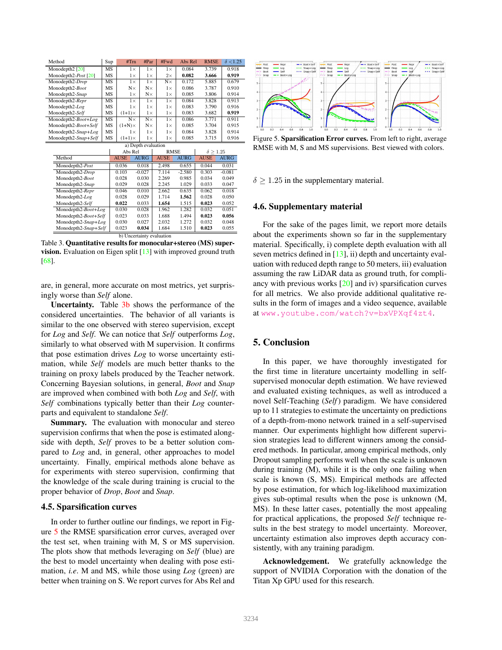| Method                       | Sup       | #Trn          | #Par       | #Fwd      | Abs Rel | <b>RMSE</b> | $\delta$ <1.25 |
|------------------------------|-----------|---------------|------------|-----------|---------|-------------|----------------|
| Monodepth <sub>2</sub> [20]  | MS        | $1\times$     | $1\times$  | $1\times$ | 0.084   | 3.739       | 0.918          |
| Monodepth2- <i>Post</i> [20] | MS        | $1\times$     | $1\times$  | $2\times$ | 0.082   | 3.666       | 0.919          |
| Monodepth2-Drop              | MS        | $1\times$     | $1\times$  | $N\times$ | 0.172   | 5.885       | 0.679          |
| Monodepth2-Boot              | MS        | $N\times$     | $N\times$  | $1\times$ | 0.086   | 3.787       | 0.910          |
| Monodepth2-Snap              | MS        | $1\times$     | $N\times$  | $1\times$ | 0.085   | 3.806       | 0.914          |
| Monodepth2-Repr              | <b>MS</b> | $1\times$     | $1\times$  | $1\times$ | 0.084   | 3.828       | 0.913          |
| Monodepth2-Log               | MS        | $1\times$     | $1\times$  | $1\times$ | 0.083   | 3.790       | 0.916          |
| Monodepth2-Self              | MS        | $(1+1)\times$ | $1\times$  | $1\times$ | 0.083   | 3.682       | 0.919          |
| Monodepth2- $Boot+Log$       | MS        | $N \times$    | $N \times$ | $1\times$ | 0.086   | 3.771       | 0.911          |
| Monodepth2-Boot+Self         | MS        | $(1+N)\times$ | $N \times$ | $1\times$ | 0.085   | 3.704       | 0.915          |
| Monodepth2- $Snap+Log$       | MS        | 1×            | $1\times$  | $1\times$ | 0.084   | 3.828       | 0.914          |
| Monodepth2-Snap+Self         | MS        | $(1+1)\times$ | $1\times$  | $1\times$ | 0.085   | 3.715       | 0.916          |

| a) Depth evaluation       |             |             |             |             |                    |             |  |  |
|---------------------------|-------------|-------------|-------------|-------------|--------------------|-------------|--|--|
|                           | Abs Rel     |             | <b>RMSE</b> |             | $\delta \geq 1.25$ |             |  |  |
| Method                    | <b>AUSE</b> | <b>AURG</b> | <b>AUSE</b> | <b>AURG</b> | <b>AUSE</b>        | <b>AURG</b> |  |  |
| Monodepth2-Post           | 0.036       | 0.018       | 2.498       | 0.655       | 0.044              | 0.031       |  |  |
| Monodepth2-Drop           | 0.103       | $-0.027$    | 7.114       | $-2.580$    | 0.303              | $-0.081$    |  |  |
| Monodepth2-Boot           | 0.028       | 0.030       | 2.269       | 0.985       | 0.034              | 0.049       |  |  |
| Monodepth2-Snap           | 0.029       | 0.028       | 2.245       | 1.029       | 0.033              | 0.047       |  |  |
| Monodepth2-Repr           | 0.046       | 0.010       | 2.662       | 0.635       | 0.062              | 0.018       |  |  |
| Monodepth2-Log            | 0.028       | 0.029       | 1.714       | 1.562       | 0.028              | 0.050       |  |  |
| Monodepth2-Self           | 0.022       | 0.033       | 1.654       | 1.515       | 0.023              | 0.052       |  |  |
| Monodepth2-Boot+Log       | 0.030       | 0.028       | 1.962       | 1.282       | 0.032              | 0.051       |  |  |
| Monodepth2-Boot+Self      | 0.023       | 0.033       | 1.688       | 1.494       | 0.023              | 0.056       |  |  |
| Monodepth2-Snap+Log       | 0.030       | 0.027       | 2.032       | 1.272       | 0.032              | 0.048       |  |  |
| Monodepth2-Snap+Self      | 0.023       | 0.034       | 1.684       | 1.510       | 0.023              | 0.055       |  |  |
| b) Uncertainty evaluation |             |             |             |             |                    |             |  |  |

Table 3. Quantitative results for monocular+stereo (MS) supervision. Evaluation on Eigen split [13] with improved ground truth [68].

are, in general, more accurate on most metrics, yet surprisingly worse than *Self* alone.

Uncertainty. Table 3b shows the performance of the considered uncertainties. The behavior of all variants is similar to the one observed with stereo supervision, except for *Log* and *Self*. We can notice that *Self* outperforms *Log*, similarly to what observed with M supervision. It confirms that pose estimation drives *Log* to worse uncertainty estimation, while *Self* models are much better thanks to the training on proxy labels produced by the Teacher network. Concerning Bayesian solutions, in general, *Boot* and *Snap* are improved when combined with both *Log* and *Self*, with *Self* combinations typically better than their *Log* counterparts and equivalent to standalone *Self*.

Summary. The evaluation with monocular and stereo supervision confirms that when the pose is estimated alongside with depth, *Self* proves to be a better solution compared to *Log* and, in general, other approaches to model uncertainty. Finally, empirical methods alone behave as for experiments with stereo supervision, confirming that the knowledge of the scale during training is crucial to the proper behavior of *Drop*, *Boot* and *Snap*.

#### 4.5. Sparsification curves

In order to further outline our findings, we report in Figure 5 the RMSE sparsification error curves, averaged over the test set, when training with M, S or MS supervision. The plots show that methods leveraging on *Self* (blue) are the best to model uncertainty when dealing with pose estimation, *i.e*. M and MS, while those using *Log* (green) are better when training on S. We report curves for Abs Rel and



Figure 5. Sparsification Error curves. From left to right, average RMSE with M, S and MS supervisions. Best viewed with colors.

 $\delta \geq 1.25$  in the supplementary material.

#### 4.6. Supplementary material

For the sake of the pages limit, we report more details about the experiments shown so far in the supplementary material. Specifically, i) complete depth evaluation with all seven metrics defined in [13], ii) depth and uncertainty evaluation with reduced depth range to 50 meters, iii) evaluation assuming the raw LiDAR data as ground truth, for compliancy with previous works [20] and iv) sparsification curves for all metrics. We also provide additional qualitative results in the form of images and a video sequence, available at www.youtube.com/watch?v=bxVPXqf4zt4.

# 5. Conclusion

In this paper, we have thoroughly investigated for the first time in literature uncertainty modelling in selfsupervised monocular depth estimation. We have reviewed and evaluated existing techniques, as well as introduced a novel Self-Teaching (*Self*) paradigm. We have considered up to 11 strategies to estimate the uncertainty on predictions of a depth-from-mono network trained in a self-supervised manner. Our experiments highlight how different supervision strategies lead to different winners among the considered methods. In particular, among empirical methods, only Dropout sampling performs well when the scale is unknown during training (M), while it is the only one failing when scale is known (S, MS). Empirical methods are affected by pose estimation, for which log-likelihood maximization gives sub-optimal results when the pose is unknown (M, MS). In these latter cases, potentially the most appealing for practical applications, the proposed *Self* technique results in the best strategy to model uncertainty. Moreover, uncertainty estimation also improves depth accuracy consistently, with any training paradigm.

Acknowledgement. We gratefully acknowledge the support of NVIDIA Corporation with the donation of the Titan Xp GPU used for this research.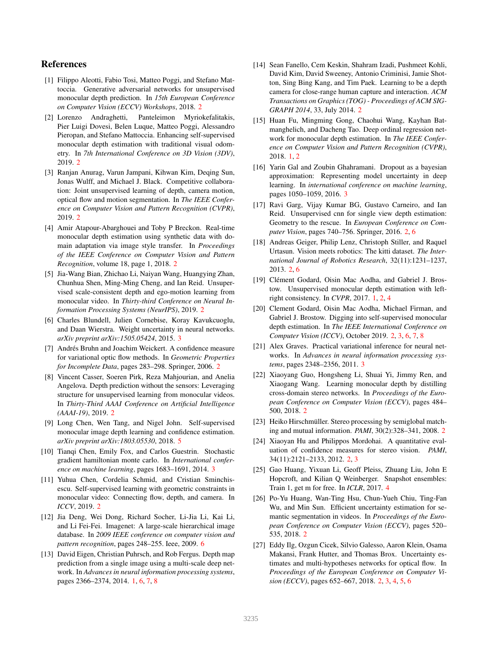# References

- [1] Filippo Aleotti, Fabio Tosi, Matteo Poggi, and Stefano Mattoccia. Generative adversarial networks for unsupervised monocular depth prediction. In *15th European Conference on Computer Vision (ECCV) Workshops*, 2018. 2
- [2] Lorenzo Andraghetti, Panteleimon Myriokefalitakis, Pier Luigi Dovesi, Belen Luque, Matteo Poggi, Alessandro Pieropan, and Stefano Mattoccia. Enhancing self-supervised monocular depth estimation with traditional visual odometry. In *7th International Conference on 3D Vision (3DV)*, 2019. 2
- [3] Ranjan Anurag, Varun Jampani, Kihwan Kim, Deqing Sun, Jonas Wulff, and Michael J. Black. Competitive collaboration: Joint unsupervised learning of depth, camera motion, optical flow and motion segmentation. In *The IEEE Conference on Computer Vision and Pattern Recognition (CVPR)*, 2019. 2
- [4] Amir Atapour-Abarghouei and Toby P Breckon. Real-time monocular depth estimation using synthetic data with domain adaptation via image style transfer. In *Proceedings of the IEEE Conference on Computer Vision and Pattern Recognition*, volume 18, page 1, 2018. 2
- [5] Jia-Wang Bian, Zhichao Li, Naiyan Wang, Huangying Zhan, Chunhua Shen, Ming-Ming Cheng, and Ian Reid. Unsupervised scale-consistent depth and ego-motion learning from monocular video. In *Thirty-third Conference on Neural Information Processing Systems (NeurIPS)*, 2019. 2
- [6] Charles Blundell, Julien Cornebise, Koray Kavukcuoglu, and Daan Wierstra. Weight uncertainty in neural networks. *arXiv preprint arXiv:1505.05424*, 2015. 3
- [7] Andrés Bruhn and Joachim Weickert. A confidence measure for variational optic flow methods. In *Geometric Properties for Incomplete Data*, pages 283–298. Springer, 2006. 2
- [8] Vincent Casser, Soeren Pirk, Reza Mahjourian, and Anelia Angelova. Depth prediction without the sensors: Leveraging structure for unsupervised learning from monocular videos. In *Thirty-Third AAAI Conference on Artificial Intelligence (AAAI-19)*, 2019. 2
- [9] Long Chen, Wen Tang, and Nigel John. Self-supervised monocular image depth learning and confidence estimation. *arXiv preprint arXiv:1803.05530*, 2018. 5
- [10] Tianqi Chen, Emily Fox, and Carlos Guestrin. Stochastic gradient hamiltonian monte carlo. In *International conference on machine learning*, pages 1683–1691, 2014. 3
- [11] Yuhua Chen, Cordelia Schmid, and Cristian Sminchisescu. Self-supervised learning with geometric constraints in monocular video: Connecting flow, depth, and camera. In *ICCV*, 2019. 2
- [12] Jia Deng, Wei Dong, Richard Socher, Li-Jia Li, Kai Li, and Li Fei-Fei. Imagenet: A large-scale hierarchical image database. In *2009 IEEE conference on computer vision and pattern recognition*, pages 248–255. Ieee, 2009. 6
- [13] David Eigen, Christian Puhrsch, and Rob Fergus. Depth map prediction from a single image using a multi-scale deep network. In *Advances in neural information processing systems*, pages 2366–2374, 2014. 1, 6, 7, 8
- [14] Sean Fanello, Cem Keskin, Shahram Izadi, Pushmeet Kohli, David Kim, David Sweeney, Antonio Criminisi, Jamie Shotton, Sing Bing Kang, and Tim Paek. Learning to be a depth camera for close-range human capture and interaction. *ACM Transactions on Graphics (TOG) - Proceedings of ACM SIG-GRAPH 2014*, 33, July 2014. 2
- [15] Huan Fu, Mingming Gong, Chaohui Wang, Kayhan Batmanghelich, and Dacheng Tao. Deep ordinal regression network for monocular depth estimation. In *The IEEE Conference on Computer Vision and Pattern Recognition (CVPR)*, 2018. 1, 2
- [16] Yarin Gal and Zoubin Ghahramani. Dropout as a bayesian approximation: Representing model uncertainty in deep learning. In *international conference on machine learning*, pages 1050–1059, 2016. 3
- [17] Ravi Garg, Vijay Kumar BG, Gustavo Carneiro, and Ian Reid. Unsupervised cnn for single view depth estimation: Geometry to the rescue. In *European Conference on Computer Vision*, pages 740–756. Springer, 2016. 2, 6
- [18] Andreas Geiger, Philip Lenz, Christoph Stiller, and Raquel Urtasun. Vision meets robotics: The kitti dataset. *The International Journal of Robotics Research*, 32(11):1231–1237, 2013. 2, 6
- [19] Clément Godard, Oisin Mac Aodha, and Gabriel J. Brostow. Unsupervised monocular depth estimation with leftright consistency. In *CVPR*, 2017. 1, 2, 4
- [20] Clement Godard, Oisin Mac Aodha, Michael Firman, and Gabriel J. Brostow. Digging into self-supervised monocular depth estimation. In *The IEEE International Conference on Computer Vision (ICCV)*, October 2019. 2, 3, 6, 7, 8
- [21] Alex Graves. Practical variational inference for neural networks. In *Advances in neural information processing systems*, pages 2348–2356, 2011. 3
- [22] Xiaoyang Guo, Hongsheng Li, Shuai Yi, Jimmy Ren, and Xiaogang Wang. Learning monocular depth by distilling cross-domain stereo networks. In *Proceedings of the European Conference on Computer Vision (ECCV)*, pages 484– 500, 2018. 2
- [23] Heiko Hirschmüller. Stereo processing by semiglobal matching and mutual information. *PAMI*, 30(2):328–341, 2008. 2
- [24] Xiaoyan Hu and Philippos Mordohai. A quantitative evaluation of confidence measures for stereo vision. *PAMI*, 34(11):2121–2133, 2012. 2, 3
- [25] Gao Huang, Yixuan Li, Geoff Pleiss, Zhuang Liu, John E Hopcroft, and Kilian Q Weinberger. Snapshot ensembles: Train 1, get m for free. In *ICLR*, 2017. 4
- [26] Po-Yu Huang, Wan-Ting Hsu, Chun-Yueh Chiu, Ting-Fan Wu, and Min Sun. Efficient uncertainty estimation for semantic segmentation in videos. In *Proceedings of the European Conference on Computer Vision (ECCV)*, pages 520– 535, 2018. 2
- [27] Eddy Ilg, Ozgun Cicek, Silvio Galesso, Aaron Klein, Osama Makansi, Frank Hutter, and Thomas Brox. Uncertainty estimates and multi-hypotheses networks for optical flow. In *Proceedings of the European Conference on Computer Vision (ECCV)*, pages 652–667, 2018. 2, 3, 4, 5, 6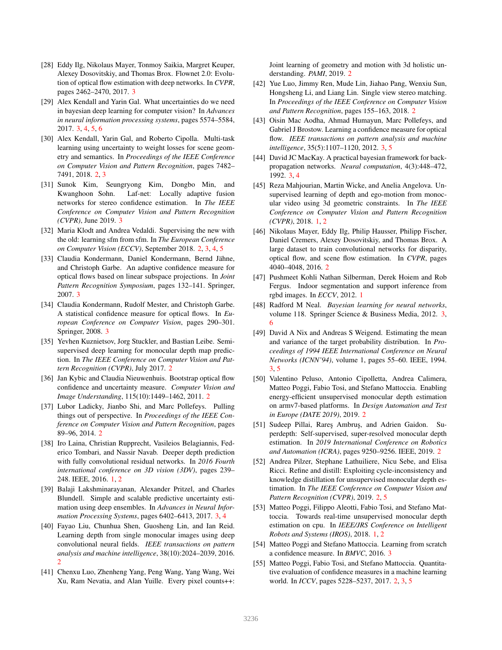- [28] Eddy Ilg, Nikolaus Mayer, Tonmoy Saikia, Margret Keuper, Alexey Dosovitskiy, and Thomas Brox. Flownet 2.0: Evolution of optical flow estimation with deep networks. In *CVPR*, pages 2462–2470, 2017. 3
- [29] Alex Kendall and Yarin Gal. What uncertainties do we need in bayesian deep learning for computer vision? In *Advances in neural information processing systems*, pages 5574–5584, 2017. 3, 4, 5, 6
- [30] Alex Kendall, Yarin Gal, and Roberto Cipolla. Multi-task learning using uncertainty to weight losses for scene geometry and semantics. In *Proceedings of the IEEE Conference on Computer Vision and Pattern Recognition*, pages 7482– 7491, 2018. 2, 3
- [31] Sunok Kim, Seungryong Kim, Dongbo Min, and Kwanghoon Sohn. Laf-net: Locally adaptive fusion networks for stereo confidence estimation. In *The IEEE Conference on Computer Vision and Pattern Recognition (CVPR)*, June 2019. 3
- [32] Maria Klodt and Andrea Vedaldi. Supervising the new with the old: learning sfm from sfm. In *The European Conference on Computer Vision (ECCV)*, September 2018. 2, 3, 4, 5
- [33] Claudia Kondermann, Daniel Kondermann, Bernd Jähne, and Christoph Garbe. An adaptive confidence measure for optical flows based on linear subspace projections. In *Joint Pattern Recognition Symposium*, pages 132–141. Springer, 2007. 3
- [34] Claudia Kondermann, Rudolf Mester, and Christoph Garbe. A statistical confidence measure for optical flows. In *European Conference on Computer Vision*, pages 290–301. Springer, 2008. 3
- [35] Yevhen Kuznietsov, Jorg Stuckler, and Bastian Leibe. Semisupervised deep learning for monocular depth map prediction. In *The IEEE Conference on Computer Vision and Pattern Recognition (CVPR)*, July 2017. 2
- [36] Jan Kybic and Claudia Nieuwenhuis. Bootstrap optical flow confidence and uncertainty measure. *Computer Vision and Image Understanding*, 115(10):1449–1462, 2011. 2
- [37] Lubor Ladicky, Jianbo Shi, and Marc Pollefeys. Pulling things out of perspective. In *Proceedings of the IEEE Conference on Computer Vision and Pattern Recognition*, pages 89–96, 2014. 2
- [38] Iro Laina, Christian Rupprecht, Vasileios Belagiannis, Federico Tombari, and Nassir Navab. Deeper depth prediction with fully convolutional residual networks. In *2016 Fourth international conference on 3D vision (3DV)*, pages 239– 248. IEEE, 2016. 1, 2
- [39] Balaji Lakshminarayanan, Alexander Pritzel, and Charles Blundell. Simple and scalable predictive uncertainty estimation using deep ensembles. In *Advances in Neural Information Processing Systems*, pages 6402–6413, 2017. 3, 4
- [40] Fayao Liu, Chunhua Shen, Guosheng Lin, and Ian Reid. Learning depth from single monocular images using deep convolutional neural fields. *IEEE transactions on pattern analysis and machine intelligence*, 38(10):2024–2039, 2016. 2
- [41] Chenxu Luo, Zhenheng Yang, Peng Wang, Yang Wang, Wei Xu, Ram Nevatia, and Alan Yuille. Every pixel counts++:

Joint learning of geometry and motion with 3d holistic understanding. *PAMI*, 2019. 2

- [42] Yue Luo, Jimmy Ren, Mude Lin, Jiahao Pang, Wenxiu Sun, Hongsheng Li, and Liang Lin. Single view stereo matching. In *Proceedings of the IEEE Conference on Computer Vision and Pattern Recognition*, pages 155–163, 2018. 2
- [43] Oisin Mac Aodha, Ahmad Humayun, Marc Pollefeys, and Gabriel J Brostow. Learning a confidence measure for optical flow. *IEEE transactions on pattern analysis and machine intelligence*, 35(5):1107–1120, 2012. 3, 5
- [44] David JC MacKay. A practical bayesian framework for backpropagation networks. *Neural computation*, 4(3):448–472, 1992. 3, 4
- [45] Reza Mahjourian, Martin Wicke, and Anelia Angelova. Unsupervised learning of depth and ego-motion from monocular video using 3d geometric constraints. In *The IEEE Conference on Computer Vision and Pattern Recognition (CVPR)*, 2018. 1, 2
- [46] Nikolaus Mayer, Eddy Ilg, Philip Hausser, Philipp Fischer, Daniel Cremers, Alexey Dosovitskiy, and Thomas Brox. A large dataset to train convolutional networks for disparity, optical flow, and scene flow estimation. In *CVPR*, pages 4040–4048, 2016. 2
- [47] Pushmeet Kohli Nathan Silberman, Derek Hoiem and Rob Fergus. Indoor segmentation and support inference from rgbd images. In *ECCV*, 2012. 1
- [48] Radford M Neal. *Bayesian learning for neural networks*, volume 118. Springer Science & Business Media, 2012. 3, 6
- [49] David A Nix and Andreas S Weigend. Estimating the mean and variance of the target probability distribution. In *Proceedings of 1994 IEEE International Conference on Neural Networks (ICNN'94)*, volume 1, pages 55–60. IEEE, 1994. 3, 5
- [50] Valentino Peluso, Antonio Cipolletta, Andrea Calimera, Matteo Poggi, Fabio Tosi, and Stefano Mattoccia. Enabling energy-efficient unsupervised monocular depth estimation on armv7-based platforms. In *Design Automation and Test in Europe (DATE 2019)*, 2019. 2
- [51] Sudeep Pillai, Rares Ambrus, and Adrien Gaidon. Superdepth: Self-supervised, super-resolved monocular depth estimation. In *2019 International Conference on Robotics and Automation (ICRA)*, pages 9250–9256. IEEE, 2019. 2
- [52] Andrea Pilzer, Stephane Lathuiliere, Nicu Sebe, and Elisa Ricci. Refine and distill: Exploiting cycle-inconsistency and knowledge distillation for unsupervised monocular depth estimation. In *The IEEE Conference on Computer Vision and Pattern Recognition (CVPR)*, 2019. 2, 5
- [53] Matteo Poggi, Filippo Aleotti, Fabio Tosi, and Stefano Mattoccia. Towards real-time unsupervised monocular depth estimation on cpu. In *IEEE/JRS Conference on Intelligent Robots and Systems (IROS)*, 2018. 1, 2
- [54] Matteo Poggi and Stefano Mattoccia. Learning from scratch a confidence measure. In *BMVC*, 2016. 3
- [55] Matteo Poggi, Fabio Tosi, and Stefano Mattoccia. Quantitative evaluation of confidence measures in a machine learning world. In *ICCV*, pages 5228–5237, 2017. 2, 3, 5